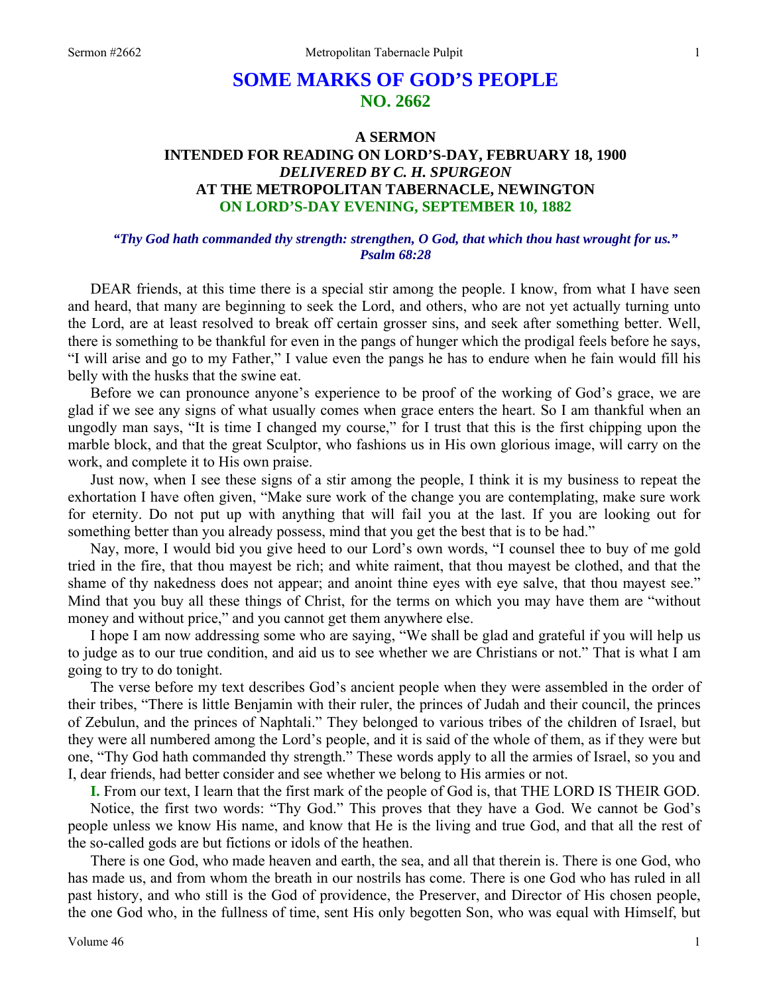# **SOME MARKS OF GOD'S PEOPLE NO. 2662**

## **A SERMON INTENDED FOR READING ON LORD'S-DAY, FEBRUARY 18, 1900**  *DELIVERED BY C. H. SPURGEON*  **AT THE METROPOLITAN TABERNACLE, NEWINGTON ON LORD'S-DAY EVENING, SEPTEMBER 10, 1882**

#### *"Thy God hath commanded thy strength: strengthen, O God, that which thou hast wrought for us." Psalm 68:28*

DEAR friends, at this time there is a special stir among the people. I know, from what I have seen and heard, that many are beginning to seek the Lord, and others, who are not yet actually turning unto the Lord, are at least resolved to break off certain grosser sins, and seek after something better. Well, there is something to be thankful for even in the pangs of hunger which the prodigal feels before he says, "I will arise and go to my Father," I value even the pangs he has to endure when he fain would fill his belly with the husks that the swine eat.

Before we can pronounce anyone's experience to be proof of the working of God's grace, we are glad if we see any signs of what usually comes when grace enters the heart. So I am thankful when an ungodly man says, "It is time I changed my course," for I trust that this is the first chipping upon the marble block, and that the great Sculptor, who fashions us in His own glorious image, will carry on the work, and complete it to His own praise.

Just now, when I see these signs of a stir among the people, I think it is my business to repeat the exhortation I have often given, "Make sure work of the change you are contemplating, make sure work for eternity. Do not put up with anything that will fail you at the last. If you are looking out for something better than you already possess, mind that you get the best that is to be had."

Nay, more, I would bid you give heed to our Lord's own words, "I counsel thee to buy of me gold tried in the fire, that thou mayest be rich; and white raiment, that thou mayest be clothed, and that the shame of thy nakedness does not appear; and anoint thine eyes with eye salve, that thou mayest see." Mind that you buy all these things of Christ, for the terms on which you may have them are "without money and without price," and you cannot get them anywhere else.

I hope I am now addressing some who are saying, "We shall be glad and grateful if you will help us to judge as to our true condition, and aid us to see whether we are Christians or not." That is what I am going to try to do tonight.

The verse before my text describes God's ancient people when they were assembled in the order of their tribes, "There is little Benjamin with their ruler, the princes of Judah and their council, the princes of Zebulun, and the princes of Naphtali." They belonged to various tribes of the children of Israel, but they were all numbered among the Lord's people, and it is said of the whole of them, as if they were but one, "Thy God hath commanded thy strength." These words apply to all the armies of Israel, so you and I, dear friends, had better consider and see whether we belong to His armies or not.

**I.** From our text, I learn that the first mark of the people of God is, that THE LORD IS THEIR GOD.

Notice, the first two words: "Thy God." This proves that they have a God. We cannot be God's people unless we know His name, and know that He is the living and true God, and that all the rest of the so-called gods are but fictions or idols of the heathen.

There is one God, who made heaven and earth, the sea, and all that therein is. There is one God, who has made us, and from whom the breath in our nostrils has come. There is one God who has ruled in all past history, and who still is the God of providence, the Preserver, and Director of His chosen people, the one God who, in the fullness of time, sent His only begotten Son, who was equal with Himself, but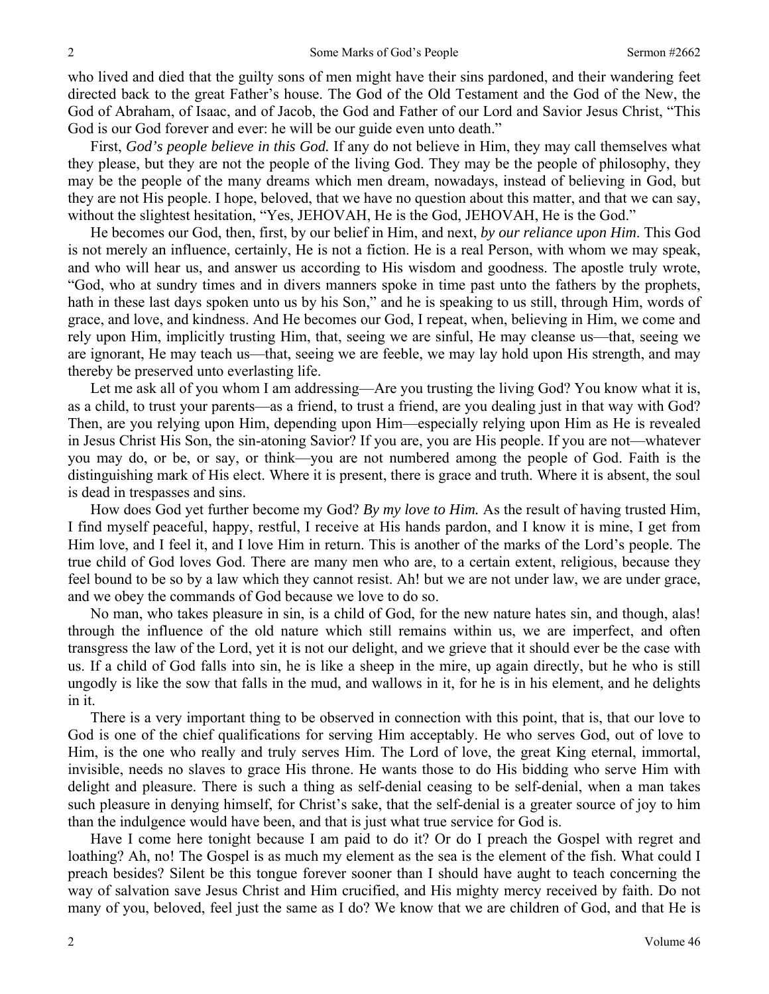who lived and died that the guilty sons of men might have their sins pardoned, and their wandering feet directed back to the great Father's house. The God of the Old Testament and the God of the New, the God of Abraham, of Isaac, and of Jacob, the God and Father of our Lord and Savior Jesus Christ, "This God is our God forever and ever: he will be our guide even unto death."

First, *God's people believe in this God.* If any do not believe in Him, they may call themselves what they please, but they are not the people of the living God. They may be the people of philosophy, they may be the people of the many dreams which men dream, nowadays, instead of believing in God, but they are not His people. I hope, beloved, that we have no question about this matter, and that we can say, without the slightest hesitation, "Yes, JEHOVAH, He is the God, JEHOVAH, He is the God."

He becomes our God, then, first, by our belief in Him, and next, *by our reliance upon Him*. This God is not merely an influence, certainly, He is not a fiction. He is a real Person, with whom we may speak, and who will hear us, and answer us according to His wisdom and goodness. The apostle truly wrote, "God, who at sundry times and in divers manners spoke in time past unto the fathers by the prophets, hath in these last days spoken unto us by his Son," and he is speaking to us still, through Him, words of grace, and love, and kindness. And He becomes our God, I repeat, when, believing in Him, we come and rely upon Him, implicitly trusting Him, that, seeing we are sinful, He may cleanse us—that, seeing we are ignorant, He may teach us—that, seeing we are feeble, we may lay hold upon His strength, and may thereby be preserved unto everlasting life.

Let me ask all of you whom I am addressing—Are you trusting the living God? You know what it is, as a child, to trust your parents—as a friend, to trust a friend, are you dealing just in that way with God? Then, are you relying upon Him, depending upon Him—especially relying upon Him as He is revealed in Jesus Christ His Son, the sin-atoning Savior? If you are, you are His people. If you are not—whatever you may do, or be, or say, or think—you are not numbered among the people of God. Faith is the distinguishing mark of His elect. Where it is present, there is grace and truth. Where it is absent, the soul is dead in trespasses and sins.

How does God yet further become my God? *By my love to Him.* As the result of having trusted Him, I find myself peaceful, happy, restful, I receive at His hands pardon, and I know it is mine, I get from Him love, and I feel it, and I love Him in return. This is another of the marks of the Lord's people. The true child of God loves God. There are many men who are, to a certain extent, religious, because they feel bound to be so by a law which they cannot resist. Ah! but we are not under law, we are under grace, and we obey the commands of God because we love to do so.

No man, who takes pleasure in sin, is a child of God, for the new nature hates sin, and though, alas! through the influence of the old nature which still remains within us, we are imperfect, and often transgress the law of the Lord, yet it is not our delight, and we grieve that it should ever be the case with us. If a child of God falls into sin, he is like a sheep in the mire, up again directly, but he who is still ungodly is like the sow that falls in the mud, and wallows in it, for he is in his element, and he delights in it.

There is a very important thing to be observed in connection with this point, that is, that our love to God is one of the chief qualifications for serving Him acceptably. He who serves God, out of love to Him, is the one who really and truly serves Him. The Lord of love, the great King eternal, immortal, invisible, needs no slaves to grace His throne. He wants those to do His bidding who serve Him with delight and pleasure. There is such a thing as self-denial ceasing to be self-denial, when a man takes such pleasure in denying himself, for Christ's sake, that the self-denial is a greater source of joy to him than the indulgence would have been, and that is just what true service for God is.

Have I come here tonight because I am paid to do it? Or do I preach the Gospel with regret and loathing? Ah, no! The Gospel is as much my element as the sea is the element of the fish. What could I preach besides? Silent be this tongue forever sooner than I should have aught to teach concerning the way of salvation save Jesus Christ and Him crucified, and His mighty mercy received by faith. Do not many of you, beloved, feel just the same as I do? We know that we are children of God, and that He is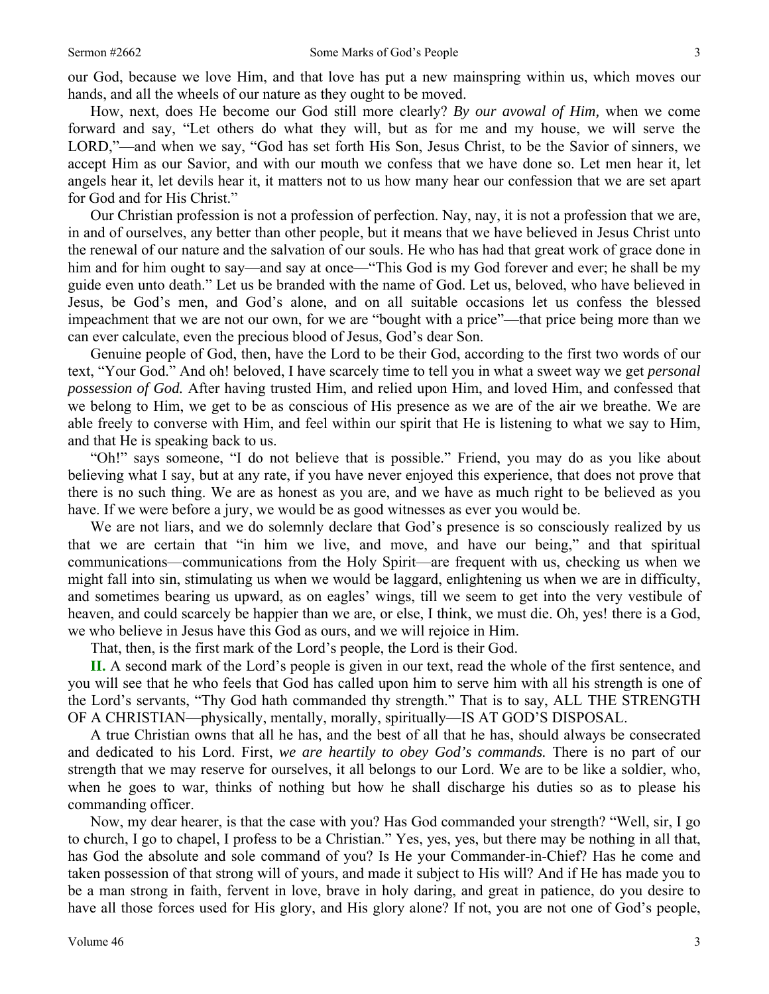How, next, does He become our God still more clearly? *By our avowal of Him,* when we come forward and say, "Let others do what they will, but as for me and my house, we will serve the LORD,"—and when we say, "God has set forth His Son, Jesus Christ, to be the Savior of sinners, we accept Him as our Savior, and with our mouth we confess that we have done so. Let men hear it, let angels hear it, let devils hear it, it matters not to us how many hear our confession that we are set apart for God and for His Christ."

Our Christian profession is not a profession of perfection. Nay, nay, it is not a profession that we are, in and of ourselves, any better than other people, but it means that we have believed in Jesus Christ unto the renewal of our nature and the salvation of our souls. He who has had that great work of grace done in him and for him ought to say—and say at once—"This God is my God forever and ever; he shall be my guide even unto death." Let us be branded with the name of God. Let us, beloved, who have believed in Jesus, be God's men, and God's alone, and on all suitable occasions let us confess the blessed impeachment that we are not our own, for we are "bought with a price"—that price being more than we can ever calculate, even the precious blood of Jesus, God's dear Son.

Genuine people of God, then, have the Lord to be their God, according to the first two words of our text, "Your God." And oh! beloved, I have scarcely time to tell you in what a sweet way we get *personal possession of God.* After having trusted Him, and relied upon Him, and loved Him, and confessed that we belong to Him, we get to be as conscious of His presence as we are of the air we breathe. We are able freely to converse with Him, and feel within our spirit that He is listening to what we say to Him, and that He is speaking back to us.

"Oh!" says someone, "I do not believe that is possible." Friend, you may do as you like about believing what I say, but at any rate, if you have never enjoyed this experience, that does not prove that there is no such thing. We are as honest as you are, and we have as much right to be believed as you have. If we were before a jury, we would be as good witnesses as ever you would be.

We are not liars, and we do solemnly declare that God's presence is so consciously realized by us that we are certain that "in him we live, and move, and have our being," and that spiritual communications—communications from the Holy Spirit—are frequent with us, checking us when we might fall into sin, stimulating us when we would be laggard, enlightening us when we are in difficulty, and sometimes bearing us upward, as on eagles' wings, till we seem to get into the very vestibule of heaven, and could scarcely be happier than we are, or else, I think, we must die. Oh, yes! there is a God, we who believe in Jesus have this God as ours, and we will rejoice in Him.

That, then, is the first mark of the Lord's people, the Lord is their God.

**II.** A second mark of the Lord's people is given in our text, read the whole of the first sentence, and you will see that he who feels that God has called upon him to serve him with all his strength is one of the Lord's servants, "Thy God hath commanded thy strength." That is to say, ALL THE STRENGTH OF A CHRISTIAN—physically, mentally, morally, spiritually—IS AT GOD'S DISPOSAL.

A true Christian owns that all he has, and the best of all that he has, should always be consecrated and dedicated to his Lord. First, *we are heartily to obey God's commands.* There is no part of our strength that we may reserve for ourselves, it all belongs to our Lord. We are to be like a soldier, who, when he goes to war, thinks of nothing but how he shall discharge his duties so as to please his commanding officer.

Now, my dear hearer, is that the case with you? Has God commanded your strength? "Well, sir, I go to church, I go to chapel, I profess to be a Christian." Yes, yes, yes, but there may be nothing in all that, has God the absolute and sole command of you? Is He your Commander-in-Chief? Has he come and taken possession of that strong will of yours, and made it subject to His will? And if He has made you to be a man strong in faith, fervent in love, brave in holy daring, and great in patience, do you desire to have all those forces used for His glory, and His glory alone? If not, you are not one of God's people,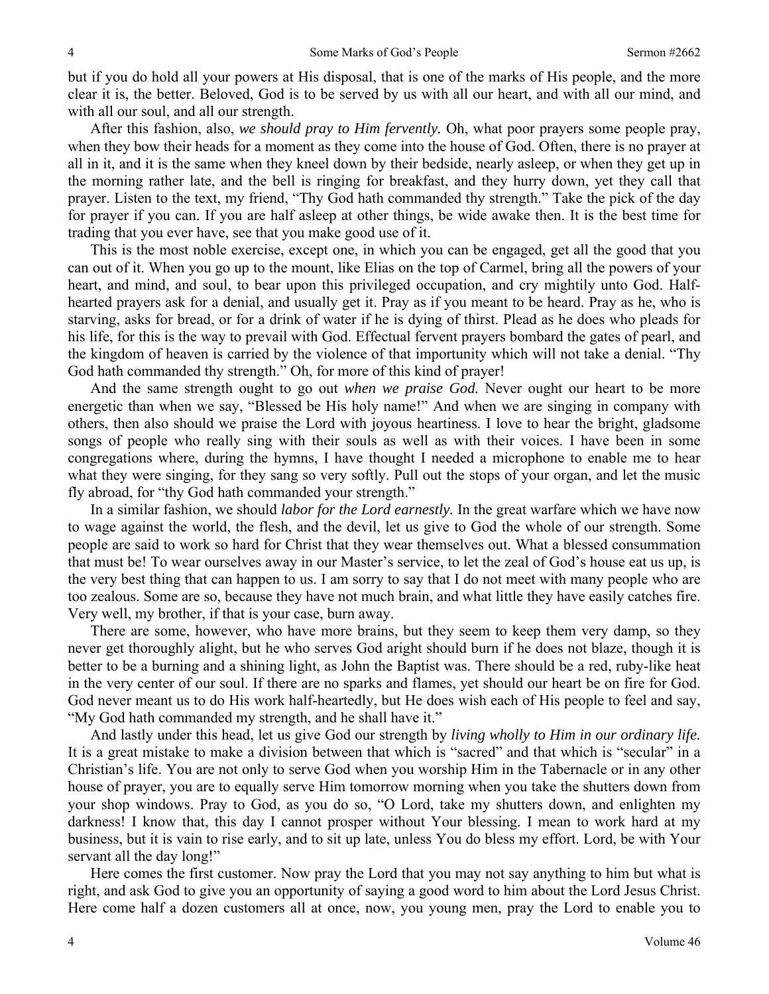but if you do hold all your powers at His disposal, that is one of the marks of His people, and the more clear it is, the better. Beloved, God is to be served by us with all our heart, and with all our mind, and with all our soul, and all our strength.

After this fashion, also, *we should pray to Him fervently.* Oh, what poor prayers some people pray, when they bow their heads for a moment as they come into the house of God. Often, there is no prayer at all in it, and it is the same when they kneel down by their bedside, nearly asleep, or when they get up in the morning rather late, and the bell is ringing for breakfast, and they hurry down, yet they call that prayer. Listen to the text, my friend, "Thy God hath commanded thy strength." Take the pick of the day for prayer if you can. If you are half asleep at other things, be wide awake then. It is the best time for trading that you ever have, see that you make good use of it.

This is the most noble exercise, except one, in which you can be engaged, get all the good that you can out of it. When you go up to the mount, like Elias on the top of Carmel, bring all the powers of your heart, and mind, and soul, to bear upon this privileged occupation, and cry mightily unto God. Halfhearted prayers ask for a denial, and usually get it. Pray as if you meant to be heard. Pray as he, who is starving, asks for bread, or for a drink of water if he is dying of thirst. Plead as he does who pleads for his life, for this is the way to prevail with God. Effectual fervent prayers bombard the gates of pearl, and the kingdom of heaven is carried by the violence of that importunity which will not take a denial. "Thy God hath commanded thy strength." Oh, for more of this kind of prayer!

And the same strength ought to go out *when we praise God.* Never ought our heart to be more energetic than when we say, "Blessed be His holy name!" And when we are singing in company with others, then also should we praise the Lord with joyous heartiness. I love to hear the bright, gladsome songs of people who really sing with their souls as well as with their voices. I have been in some congregations where, during the hymns, I have thought I needed a microphone to enable me to hear what they were singing, for they sang so very softly. Pull out the stops of your organ, and let the music fly abroad, for "thy God hath commanded your strength."

In a similar fashion, we should *labor for the Lord earnestly.* In the great warfare which we have now to wage against the world, the flesh, and the devil, let us give to God the whole of our strength. Some people are said to work so hard for Christ that they wear themselves out. What a blessed consummation that must be! To wear ourselves away in our Master's service, to let the zeal of God's house eat us up, is the very best thing that can happen to us. I am sorry to say that I do not meet with many people who are too zealous. Some are so, because they have not much brain, and what little they have easily catches fire. Very well, my brother, if that is your case, burn away.

There are some, however, who have more brains, but they seem to keep them very damp, so they never get thoroughly alight, but he who serves God aright should burn if he does not blaze, though it is better to be a burning and a shining light, as John the Baptist was. There should be a red, ruby-like heat in the very center of our soul. If there are no sparks and flames, yet should our heart be on fire for God. God never meant us to do His work half-heartedly, but He does wish each of His people to feel and say, "My God hath commanded my strength, and he shall have it."

And lastly under this head, let us give God our strength by *living wholly to Him in our ordinary life.*  It is a great mistake to make a division between that which is "sacred" and that which is "secular" in a Christian's life. You are not only to serve God when you worship Him in the Tabernacle or in any other house of prayer, you are to equally serve Him tomorrow morning when you take the shutters down from your shop windows. Pray to God, as you do so, "O Lord, take my shutters down, and enlighten my darkness! I know that, this day I cannot prosper without Your blessing. I mean to work hard at my business, but it is vain to rise early, and to sit up late, unless You do bless my effort. Lord, be with Your servant all the day long!"

Here comes the first customer. Now pray the Lord that you may not say anything to him but what is right, and ask God to give you an opportunity of saying a good word to him about the Lord Jesus Christ. Here come half a dozen customers all at once, now, you young men, pray the Lord to enable you to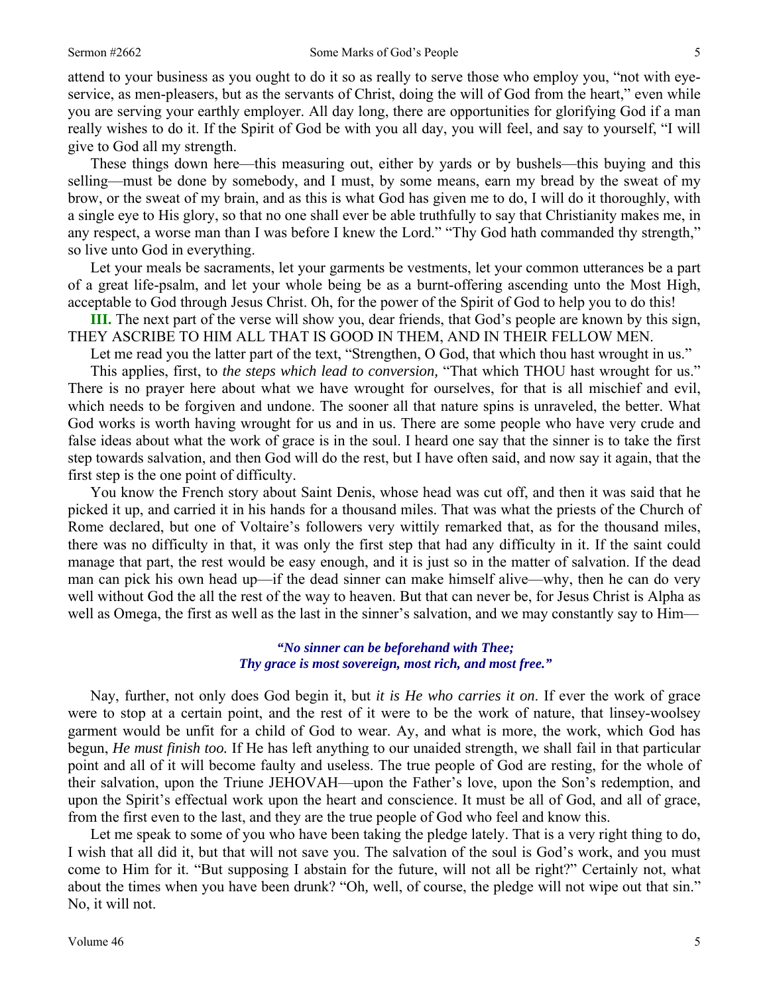attend to your business as you ought to do it so as really to serve those who employ you, "not with eyeservice, as men-pleasers, but as the servants of Christ, doing the will of God from the heart," even while you are serving your earthly employer. All day long, there are opportunities for glorifying God if a man really wishes to do it. If the Spirit of God be with you all day, you will feel, and say to yourself, "I will give to God all my strength.

These things down here—this measuring out, either by yards or by bushels—this buying and this selling—must be done by somebody, and I must, by some means, earn my bread by the sweat of my brow, or the sweat of my brain, and as this is what God has given me to do, I will do it thoroughly, with a single eye to His glory, so that no one shall ever be able truthfully to say that Christianity makes me, in any respect, a worse man than I was before I knew the Lord." "Thy God hath commanded thy strength," so live unto God in everything.

Let your meals be sacraments, let your garments be vestments, let your common utterances be a part of a great life-psalm, and let your whole being be as a burnt-offering ascending unto the Most High, acceptable to God through Jesus Christ. Oh, for the power of the Spirit of God to help you to do this!

**III.** The next part of the verse will show you, dear friends, that God's people are known by this sign, THEY ASCRIBE TO HIM ALL THAT IS GOOD IN THEM, AND IN THEIR FELLOW MEN.

Let me read you the latter part of the text, "Strengthen, O God, that which thou hast wrought in us."

This applies, first, to *the steps which lead to conversion,* "That which THOU hast wrought for us." There is no prayer here about what we have wrought for ourselves, for that is all mischief and evil, which needs to be forgiven and undone. The sooner all that nature spins is unraveled, the better. What God works is worth having wrought for us and in us. There are some people who have very crude and false ideas about what the work of grace is in the soul. I heard one say that the sinner is to take the first step towards salvation, and then God will do the rest, but I have often said, and now say it again, that the first step is the one point of difficulty.

You know the French story about Saint Denis, whose head was cut off, and then it was said that he picked it up, and carried it in his hands for a thousand miles. That was what the priests of the Church of Rome declared, but one of Voltaire's followers very wittily remarked that, as for the thousand miles, there was no difficulty in that, it was only the first step that had any difficulty in it. If the saint could manage that part, the rest would be easy enough, and it is just so in the matter of salvation. If the dead man can pick his own head up—if the dead sinner can make himself alive—why, then he can do very well without God the all the rest of the way to heaven. But that can never be, for Jesus Christ is Alpha as well as Omega, the first as well as the last in the sinner's salvation, and we may constantly say to Him—

#### *"No sinner can be beforehand with Thee; Thy grace is most sovereign, most rich, and most free."*

Nay, further, not only does God begin it, but *it is He who carries it on*. If ever the work of grace were to stop at a certain point, and the rest of it were to be the work of nature, that linsey-woolsey garment would be unfit for a child of God to wear. Ay, and what is more, the work, which God has begun, *He must finish too.* If He has left anything to our unaided strength, we shall fail in that particular point and all of it will become faulty and useless. The true people of God are resting, for the whole of their salvation, upon the Triune JEHOVAH—upon the Father's love, upon the Son's redemption, and upon the Spirit's effectual work upon the heart and conscience. It must be all of God, and all of grace, from the first even to the last, and they are the true people of God who feel and know this.

Let me speak to some of you who have been taking the pledge lately. That is a very right thing to do, I wish that all did it, but that will not save you. The salvation of the soul is God's work, and you must come to Him for it. "But supposing I abstain for the future, will not all be right?" Certainly not, what about the times when you have been drunk? "Oh*,* well, of course, the pledge will not wipe out that sin." No, it will not.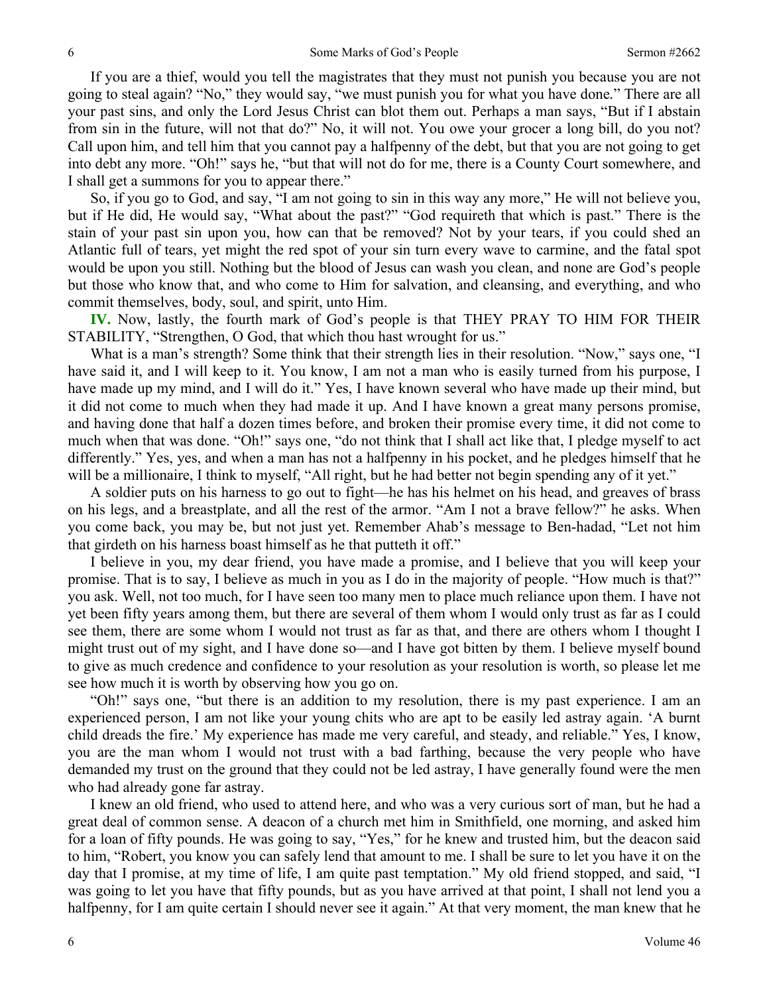If you are a thief, would you tell the magistrates that they must not punish you because you are not going to steal again? "No," they would say, "we must punish you for what you have done*.*" There are all your past sins, and only the Lord Jesus Christ can blot them out. Perhaps a man says, "But if I abstain from sin in the future, will not that do?" No, it will not. You owe your grocer a long bill, do you not? Call upon him, and tell him that you cannot pay a halfpenny of the debt, but that you are not going to get into debt any more. "Oh!" says he, "but that will not do for me, there is a County Court somewhere, and I shall get a summons for you to appear there."

So, if you go to God, and say, "I am not going to sin in this way any more," He will not believe you, but if He did, He would say, "What about the past?" "God requireth that which is past." There is the stain of your past sin upon you, how can that be removed? Not by your tears, if you could shed an Atlantic full of tears, yet might the red spot of your sin turn every wave to carmine, and the fatal spot would be upon you still. Nothing but the blood of Jesus can wash you clean, and none are God's people but those who know that, and who come to Him for salvation, and cleansing, and everything, and who commit themselves, body, soul, and spirit, unto Him.

**IV.** Now, lastly, the fourth mark of God's people is that THEY PRAY TO HIM FOR THEIR STABILITY, "Strengthen, O God, that which thou hast wrought for us."

What is a man's strength? Some think that their strength lies in their resolution. "Now," says one, "I have said it, and I will keep to it. You know, I am not a man who is easily turned from his purpose, I have made up my mind, and I will do it." Yes, I have known several who have made up their mind, but it did not come to much when they had made it up. And I have known a great many persons promise, and having done that half a dozen times before, and broken their promise every time, it did not come to much when that was done. "Oh!" says one, "do not think that I shall act like that, I pledge myself to act differently." Yes, yes, and when a man has not a halfpenny in his pocket, and he pledges himself that he will be a millionaire, I think to myself, "All right, but he had better not begin spending any of it yet."

A soldier puts on his harness to go out to fight—he has his helmet on his head, and greaves of brass on his legs, and a breastplate, and all the rest of the armor. "Am I not a brave fellow?" he asks. When you come back, you may be, but not just yet. Remember Ahab's message to Ben-hadad, "Let not him that girdeth on his harness boast himself as he that putteth it off."

I believe in you, my dear friend, you have made a promise, and I believe that you will keep your promise. That is to say, I believe as much in you as I do in the majority of people. "How much is that?" you ask. Well, not too much, for I have seen too many men to place much reliance upon them. I have not yet been fifty years among them, but there are several of them whom I would only trust as far as I could see them, there are some whom I would not trust as far as that, and there are others whom I thought I might trust out of my sight, and I have done so—and I have got bitten by them. I believe myself bound to give as much credence and confidence to your resolution as your resolution is worth, so please let me see how much it is worth by observing how you go on.

"Oh!" says one, "but there is an addition to my resolution, there is my past experience. I am an experienced person, I am not like your young chits who are apt to be easily led astray again. 'A burnt child dreads the fire.' My experience has made me very careful, and steady, and reliable." Yes, I know, you are the man whom I would not trust with a bad farthing, because the very people who have demanded my trust on the ground that they could not be led astray, I have generally found were the men who had already gone far astray.

I knew an old friend, who used to attend here, and who was a very curious sort of man, but he had a great deal of common sense. A deacon of a church met him in Smithfield, one morning, and asked him for a loan of fifty pounds. He was going to say, "Yes," for he knew and trusted him, but the deacon said to him, "Robert, you know you can safely lend that amount to me. I shall be sure to let you have it on the day that I promise, at my time of life, I am quite past temptation." My old friend stopped, and said, "I was going to let you have that fifty pounds, but as you have arrived at that point, I shall not lend you a halfpenny, for I am quite certain I should never see it again." At that very moment, the man knew that he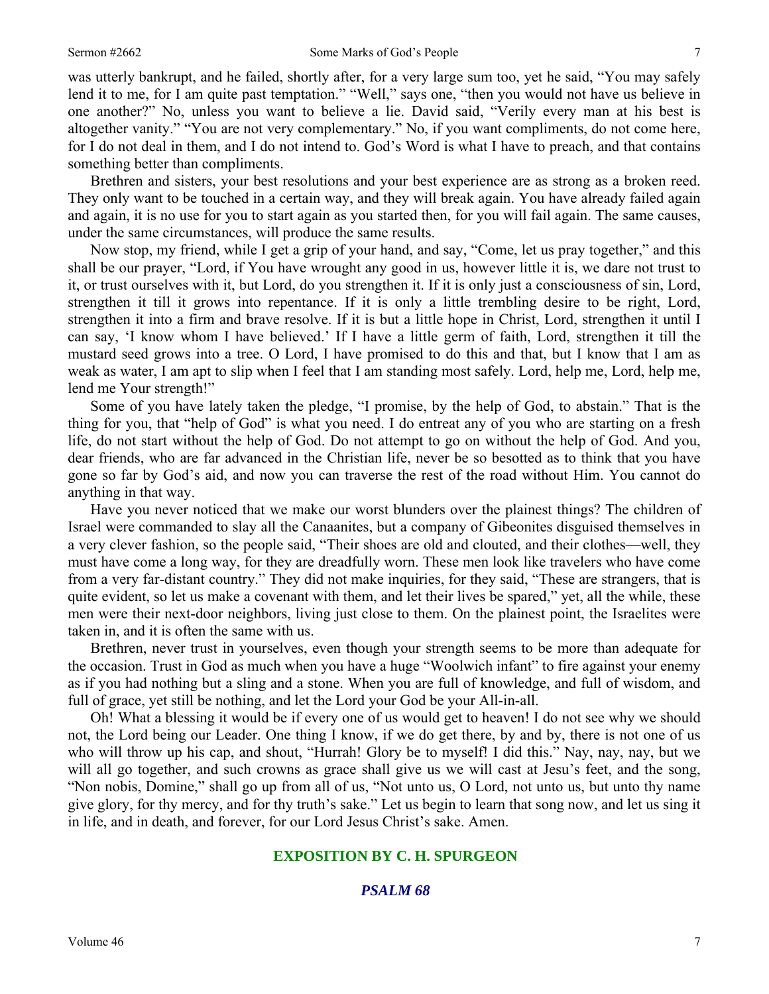was utterly bankrupt, and he failed, shortly after, for a very large sum too, yet he said, "You may safely lend it to me, for I am quite past temptation." "Well," says one, "then you would not have us believe in one another?" No, unless you want to believe a lie. David said, "Verily every man at his best is altogether vanity." "You are not very complementary." No, if you want compliments, do not come here, for I do not deal in them, and I do not intend to. God's Word is what I have to preach, and that contains something better than compliments.

Brethren and sisters, your best resolutions and your best experience are as strong as a broken reed. They only want to be touched in a certain way, and they will break again. You have already failed again and again, it is no use for you to start again as you started then, for you will fail again. The same causes, under the same circumstances, will produce the same results.

Now stop, my friend, while I get a grip of your hand, and say, "Come, let us pray together," and this shall be our prayer, "Lord, if You have wrought any good in us, however little it is, we dare not trust to it, or trust ourselves with it, but Lord, do you strengthen it. If it is only just a consciousness of sin, Lord, strengthen it till it grows into repentance. If it is only a little trembling desire to be right, Lord, strengthen it into a firm and brave resolve. If it is but a little hope in Christ, Lord, strengthen it until I can say, 'I know whom I have believed.' If I have a little germ of faith, Lord, strengthen it till the mustard seed grows into a tree. O Lord, I have promised to do this and that, but I know that I am as weak as water, I am apt to slip when I feel that I am standing most safely. Lord, help me, Lord, help me, lend me Your strength!"

Some of you have lately taken the pledge, "I promise, by the help of God, to abstain." That is the thing for you, that "help of God" is what you need. I do entreat any of you who are starting on a fresh life, do not start without the help of God. Do not attempt to go on without the help of God. And you, dear friends, who are far advanced in the Christian life, never be so besotted as to think that you have gone so far by God's aid, and now you can traverse the rest of the road without Him. You cannot do anything in that way.

Have you never noticed that we make our worst blunders over the plainest things? The children of Israel were commanded to slay all the Canaanites, but a company of Gibeonites disguised themselves in a very clever fashion, so the people said, "Their shoes are old and clouted, and their clothes—well, they must have come a long way, for they are dreadfully worn. These men look like travelers who have come from a very far-distant country." They did not make inquiries, for they said, "These are strangers, that is quite evident, so let us make a covenant with them, and let their lives be spared," yet, all the while, these men were their next-door neighbors, living just close to them. On the plainest point, the Israelites were taken in, and it is often the same with us.

Brethren, never trust in yourselves, even though your strength seems to be more than adequate for the occasion. Trust in God as much when you have a huge "Woolwich infant" to fire against your enemy as if you had nothing but a sling and a stone. When you are full of knowledge, and full of wisdom, and full of grace, yet still be nothing, and let the Lord your God be your All-in-all.

Oh! What a blessing it would be if every one of us would get to heaven! I do not see why we should not, the Lord being our Leader. One thing I know, if we do get there, by and by, there is not one of us who will throw up his cap, and shout, "Hurrah! Glory be to myself! I did this." Nay, nay, nay, but we will all go together, and such crowns as grace shall give us we will cast at Jesu's feet, and the song, "Non nobis, Domine," shall go up from all of us, "Not unto us, O Lord, not unto us, but unto thy name give glory, for thy mercy, and for thy truth's sake." Let us begin to learn that song now, and let us sing it in life, and in death, and forever, for our Lord Jesus Christ's sake. Amen.

#### **EXPOSITION BY C. H. SPURGEON**

### *PSALM 68*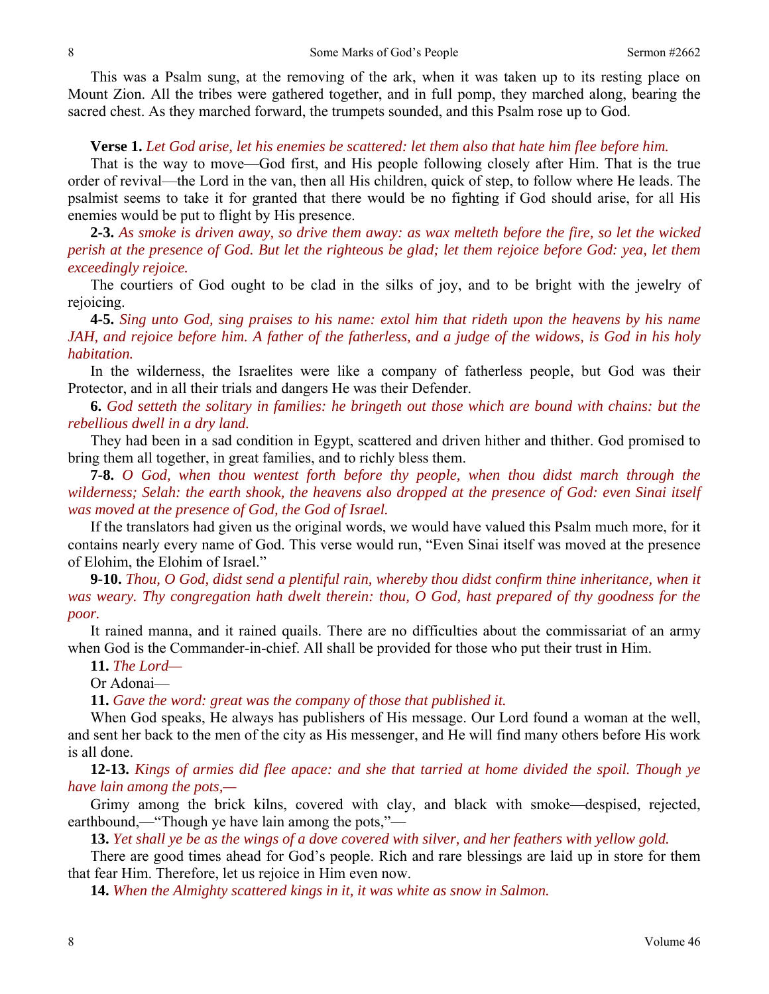This was a Psalm sung, at the removing of the ark, when it was taken up to its resting place on Mount Zion. All the tribes were gathered together, and in full pomp, they marched along, bearing the sacred chest. As they marched forward, the trumpets sounded, and this Psalm rose up to God.

#### **Verse 1.** *Let God arise, let his enemies be scattered: let them also that hate him flee before him.*

That is the way to move—God first, and His people following closely after Him. That is the true order of revival—the Lord in the van, then all His children, quick of step, to follow where He leads. The psalmist seems to take it for granted that there would be no fighting if God should arise, for all His enemies would be put to flight by His presence.

**2-3.** *As smoke is driven away, so drive them away: as wax melteth before the fire, so let the wicked perish at the presence of God. But let the righteous be glad; let them rejoice before God: yea, let them exceedingly rejoice.* 

The courtiers of God ought to be clad in the silks of joy, and to be bright with the jewelry of rejoicing.

**4-5.** *Sing unto God, sing praises to his name: extol him that rideth upon the heavens by his name JAH, and rejoice before him. A father of the fatherless, and a judge of the widows, is God in his holy habitation.* 

In the wilderness, the Israelites were like a company of fatherless people, but God was their Protector, and in all their trials and dangers He was their Defender.

**6.** *God setteth the solitary in families: he bringeth out those which are bound with chains: but the rebellious dwell in a dry land.* 

They had been in a sad condition in Egypt, scattered and driven hither and thither. God promised to bring them all together, in great families, and to richly bless them.

**7-8.** *O God, when thou wentest forth before thy people, when thou didst march through the wilderness; Selah: the earth shook, the heavens also dropped at the presence of God: even Sinai itself was moved at the presence of God, the God of Israel.* 

If the translators had given us the original words, we would have valued this Psalm much more, for it contains nearly every name of God. This verse would run, "Even Sinai itself was moved at the presence of Elohim, the Elohim of Israel."

**9-10.** *Thou, O God, didst send a plentiful rain, whereby thou didst confirm thine inheritance, when it was weary. Thy congregation hath dwelt therein: thou, O God, hast prepared of thy goodness for the poor.* 

It rained manna, and it rained quails. There are no difficulties about the commissariat of an army when God is the Commander-in-chief. All shall be provided for those who put their trust in Him.

**11.** *The Lord—* 

Or Adonai—

**11.** *Gave the word: great was the company of those that published it.* 

When God speaks, He always has publishers of His message. Our Lord found a woman at the well, and sent her back to the men of the city as His messenger, and He will find many others before His work is all done.

**12-13.** *Kings of armies did flee apace: and she that tarried at home divided the spoil. Though ye have lain among the pots,—* 

Grimy among the brick kilns, covered with clay, and black with smoke—despised, rejected, earthbound,—"Though ye have lain among the pots,"—

**13.** *Yet shall ye be as the wings of a dove covered with silver, and her feathers with yellow gold.* 

There are good times ahead for God's people. Rich and rare blessings are laid up in store for them that fear Him. Therefore, let us rejoice in Him even now.

**14.** *When the Almighty scattered kings in it, it was white as snow in Salmon.*